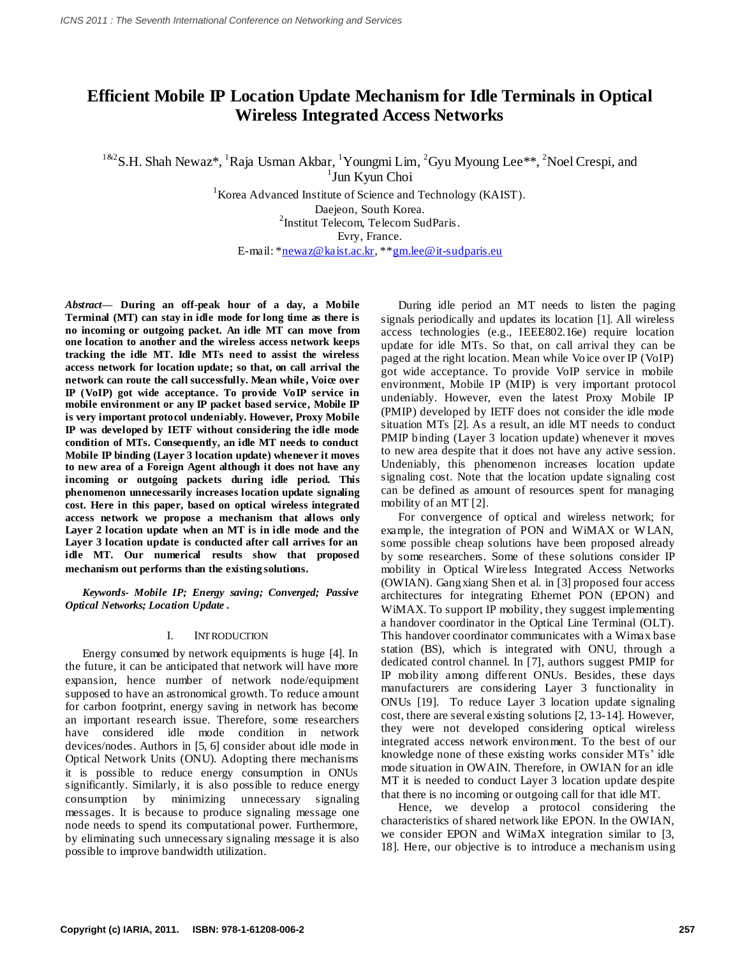# **Efficient Mobile IP Location Update Mechanism for Idle Terminals in Optical Wireless Integrated Access Networks**

<sup>1&2</sup>S.H. Shah Newaz\*, <sup>1</sup>Raja Usman Akbar, <sup>1</sup>Youngmi Lim, <sup>2</sup>Gyu Myoung Lee\*\*, <sup>2</sup>Noel Crespi, and

1 Jun Kyun Choi <sup>1</sup>Korea Advanced Institute of Science and Technology (KAIST). Daejeon, South Korea.

2 Institut Telecom, Telecom SudParis.

Evry, France.

E-mail: [\\*newaz@kaist.ac.kr,](mailto:newaz@kaist.ac.kr) \*[\\*gm.lee@it-sudparis.eu](mailto:gm.lee@it-sudparis.eu)

*Abstract***— During an off-peak hour of a day, a Mobile Terminal (MT) can stay in idle mode for long time as there is no incoming or outgoing packet. An idle MT can move from one location to another and the wireless access network keeps tracking the idle MT. Idle MTs need to assist the wireless access network for location update; so that, on call arrival the network can route the call successfully. Mean while, Voice over IP (VoIP) got wide acceptance. To provide VoIP service in mobile environment or any IP packet based service, Mobile IP is very important protocol undeniably. However, Proxy Mobile IP was developed by IETF without considering the idle mode condition of MTs. Consequently, an idle MT needs to conduct Mobile IP binding (Layer 3 location update) whenever it moves to new area of a Foreign Agent although it does not have any incoming or outgoing packets during idle period. This phenomenon unnecessarily increases location update signaling cost. Here in this paper, based on optical wireless integrated access network we propose a mechanism that allows only Layer 2 location update when an MT is in idle mode and the Layer 3 location update is conducted after call arrives for an idle MT. Our numerical results show that proposed mechanism out performs than the existing solutions.**

*Keywords- Mobile IP; Energy saving; Converged; Passive Optical Networks; Location Update .*

## I. INTRODUCTION

Energy consumed by network equipments is huge [4]. In the future, it can be anticipated that network will have more expansion, hence number of network node/equipment supposed to have an astronomical growth. To reduce amount for carbon footprint, energy saving in network has become an important research issue. Therefore, some researchers have considered idle mode condition in network devices/nodes. Authors in [5, 6] consider about idle mode in Optical Network Units (ONU). Adopting there mechanisms it is possible to reduce energy consumption in ONUs significantly. Similarly, it is also possible to reduce energy consumption by minimizing unnecessary signaling messages. It is because to produce signaling message one node needs to spend its computational power. Furthermore, by eliminating such unnecessary signaling message it is also possible to improve bandwidth utilization.

During idle period an MT needs to listen the paging signals periodically and updates its location [1]. All wireless access technologies (e.g., IEEE802.16e) require location update for idle MTs. So that, on call arrival they can be paged at the right location. Mean while Voice over IP (VoIP) got wide acceptance. To provide VoIP service in mobile environment, Mobile IP (MIP) is very important protocol undeniably. However, even the latest Proxy Mobile IP (PMIP) developed by IETF does not consider the idle mode situation MTs [2]. As a result, an idle MT needs to conduct PMIP binding (Layer 3 location update) whenever it moves to new area despite that it does not have any active session. Undeniably, this phenomenon increases location update signaling cost. Note that the location update signaling cost can be defined as amount of resources spent for managing mobility of an MT [2].

For convergence of optical and wireless network; for example, the integration of PON and WiMAX or WLAN, some possible cheap solutions have been proposed already by some researchers. Some of these solutions consider IP mobility in Optical Wireless Integrated Access Networks (OWIAN). Gangxiang Shen et al. in [3] proposed four access architectures for integrating Ethernet PON (EPON) and WiMAX. To support IP mobility, they suggest implementing a handover coordinator in the Optical Line Terminal (OLT). This handover coordinator communicates with a Wimax base station (BS), which is integrated with ONU, through a dedicated control channel. In [7], authors suggest PMIP for IP mobility among different ONUs. Besides, these days manufacturers are considering Layer 3 functionality in ONUs [19]. To reduce Layer 3 location update signaling cost, there are several existing solutions [2, 13-14]. However, they were not developed considering optical wireless integrated access network environment. To the best of our knowledge none of these existing works consider MTs' idle mode situation in OWAIN. Therefore, in OWIAN for an idle MT it is needed to conduct Layer 3 location update despite that there is no incoming or outgoing call for that idle MT.

Hence, we develop a protocol considering the characteristics of shared network like EPON. In the OWIAN, we consider EPON and WiMaX integration similar to [3, 18]. Here, our objective is to introduce a mechanism using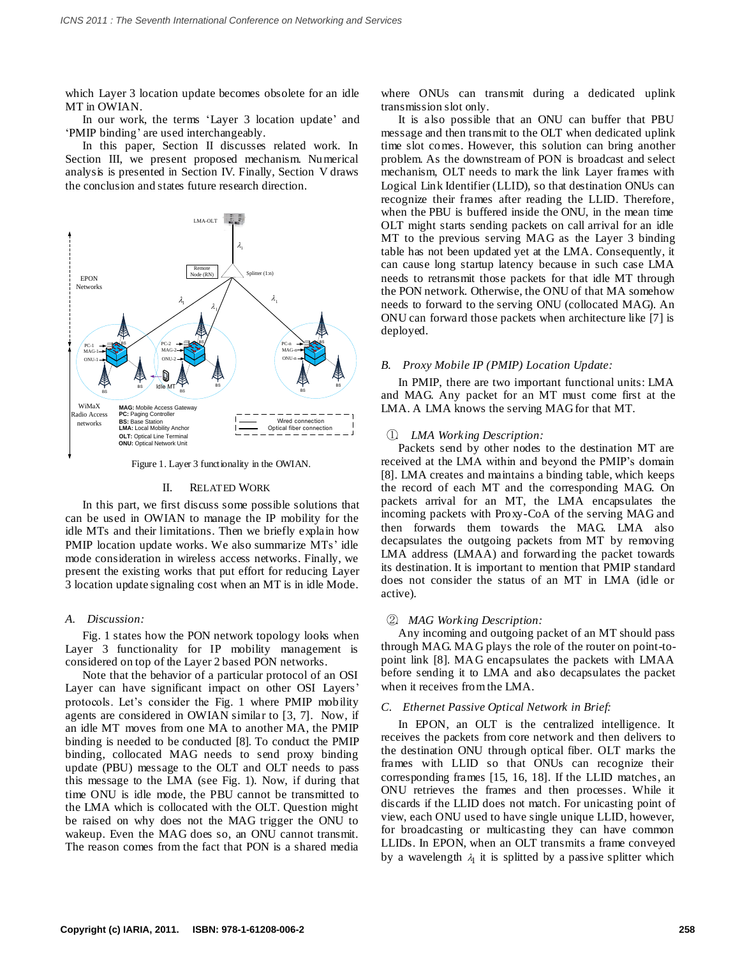which Layer 3 location update becomes obsolete for an idle MT in OWIAN.

In our work, the terms 'Layer 3 location update' and ‗PMIP binding' are used interchangeably.

In this paper, Section II discusses related work. In Section III, we present proposed mechanism. Numerical analysis is presented in Section IV. Finally, Section V draws the conclusion and states future research direction.



Figure 1. Layer 3 functionality in the OWIAN.

### II. RELATED WORK

In this part, we first discuss some possible solutions that can be used in OWIAN to manage the IP mobility for the idle MTs and their limitations. Then we briefly explain how PMIP location update works. We also summarize MTs' idle mode consideration in wireless access networks. Finally, we present the existing works that put effort for reducing Layer 3 location update signaling cost when an MT is in idle Mode.

## *A. Discussion:*

Fig. 1 states how the PON network topology looks when Layer 3 functionality for IP mobility management is considered on top of the Layer 2 based PON networks.

Note that the behavior of a particular protocol of an OSI Layer can have significant impact on other OSI Layers' protocols. Let's consider the Fig. 1 where PMIP mobility agents are considered in OWIAN similar to [3, 7]. Now, if an idle MT moves from one MA to another MA, the PMIP binding is needed to be conducted [8]. To conduct the PMIP binding, collocated MAG needs to send proxy binding update (PBU) message to the OLT and OLT needs to pass this message to the LMA (see Fig. 1). Now, if during that time ONU is idle mode, the PBU cannot be transmitted to the LMA which is collocated with the OLT. Question might be raised on why does not the MAG trigger the ONU to wakeup. Even the MAG does so, an ONU cannot transmit. The reason comes from the fact that PON is a shared media where ONUs can transmit during a dedicated uplink transmission slot only.

 $\lambda_1$   $\lambda_2$  needs to forward to the serving ONU (collocated MAG). An It is also possible that an ONU can buffer that PBU message and then transmit to the OLT when dedicated uplink time slot comes. However, this solution can bring another problem. As the downstream of PON is broadcast and select mechanism, OLT needs to mark the link Layer frames with Logical Link Identifier (LLID), so that destination ONUs can recognize their frames after reading the LLID. Therefore, when the PBU is buffered inside the ONU, in the mean time OLT might starts sending packets on call arrival for an idle MT to the previous serving MAG as the Layer 3 binding table has not been updated yet at the LMA. Consequently, it can cause long startup latency because in such case LMA needs to retransmit those packets for that idle MT through the PON network. Otherwise, the ONU of that MA somehow ONU can forward those packets when architecture like [7] is deployed.

## *B. Proxy Mobile IP (PMIP) Location Update:*

In PMIP, there are two important functional units: LMA and MAG. Any packet for an MT must come first at the LMA. A LMA knows the serving MAG for that MT.

## ①. *LMA Working Description:*

Packets send by other nodes to the destination MT are received at the LMA within and beyond the PMIP's domain [8]. LMA creates and maintains a binding table, which keeps the record of each MT and the corresponding MAG. On packets arrival for an MT, the LMA encapsulates the incoming packets with Proxy-CoA of the serving MAG and then forwards them towards the MAG. LMA also decapsulates the outgoing packets from MT by removing LMA address (LMAA) and forwarding the packet towards its destination. It is important to mention that PMIP standard does not consider the status of an MT in LMA (idle or active).

## ②. *MAG Working Description:*

Any incoming and outgoing packet of an MT should pass through MAG. MAG plays the role of the router on point-topoint link [8]. MAG encapsulates the packets with LMAA before sending it to LMA and also decapsulates the packet when it receives from the LMA.

### *C. Ethernet Passive Optical Network in Brief:*

In EPON, an OLT is the centralized intelligence. It receives the packets from core network and then delivers to the destination ONU through optical fiber. OLT marks the frames with LLID so that ONUs can recognize their corresponding frames [15, 16, 18]. If the LLID matches, an ONU retrieves the frames and then processes. While it discards if the LLID does not match. For unicasting point of view, each ONU used to have single unique LLID, however, for broadcasting or multicasting they can have common LLIDs. In EPON, when an OLT transmits a frame conveyed by a wavelength  $\lambda_1$  it is splitted by a passive splitter which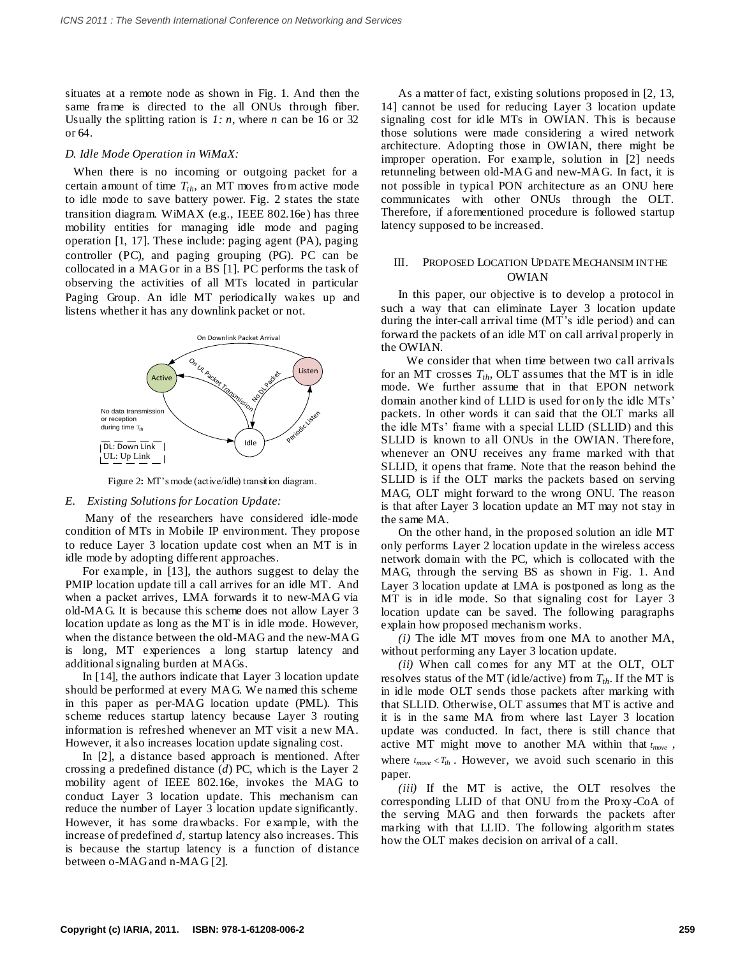situates at a remote node as shown in Fig. 1. And then the same frame is directed to the all ONUs through fiber. Usually the splitting ration is  $1: n$ , where *n* can be 16 or 32 or 64.

## *D. Idle Mode Operation in WiMaX:*

 When there is no incoming or outgoing packet for a certain amount of time *Tth*, an MT moves from active mode to idle mode to save battery power. Fig. 2 states the state transition diagram. WiMAX (e.g., IEEE 802.16e) has three mobility entities for managing idle mode and paging operation [1, 17]. These include: paging agent (PA), paging controller (PC), and paging grouping (PG). PC can be collocated in a MAG or in a BS [1]. PC performs the task of observing the activities of all MTs located in particular Paging Group. An idle MT periodically wakes up and listens whether it has any downlink packet or not.



Figure 2**:** MT's mode (active/idle) transition diagram.

### *E. Existing Solutions for Location Update:*

Many of the researchers have considered idle-mode condition of MTs in Mobile IP environment. They propose to reduce Layer 3 location update cost when an MT is in idle mode by adopting different approaches.

For example, in [13], the authors suggest to delay the PMIP location update till a call arrives for an idle MT. And when a packet arrives, LMA forwards it to new-MAG via old-MAG. It is because this scheme does not allow Layer 3 location update as long as the MT is in idle mode. However, when the distance between the old-MAG and the new-MAG is long, MT experiences a long startup latency and additional signaling burden at MAGs.

In [14], the authors indicate that Layer 3 location update should be performed at every MAG. We named this scheme in this paper as per-MAG location update (PML). This scheme reduces startup latency because Layer 3 routing information is refreshed whenever an MT visit a new MA. However, it also increases location update signaling cost.

In [2], a distance based approach is mentioned. After crossing a predefined distance (*d*) PC, which is the Layer 2 mobility agent of IEEE 802.16e, invokes the MAG to conduct Layer 3 location update. This mechanism can reduce the number of Layer 3 location update significantly. However, it has some drawbacks. For example, with the increase of predefined *d*, startup latency also increases. This is because the startup latency is a function of distance between o-MAG and n-MAG [2].

As a matter of fact, existing solutions proposed in [2, 13, 14] cannot be used for reducing Layer 3 location update signaling cost for idle MTs in OWIAN. This is because those solutions were made considering a wired network architecture. Adopting those in OWIAN, there might be improper operation. For example, solution in [2] needs retunneling between old-MAG and new-MAG. In fact, it is not possible in typical PON architecture as an ONU here communicates with other ONUs through the OLT. Therefore, if aforementioned procedure is followed startup latency supposed to be increased.

# III. PROPOSED LOCATION UPDATE MECHANSIM IN THE OWIAN

In this paper, our objective is to develop a protocol in such a way that can eliminate Layer 3 location update during the inter-call arrival time (MT's idle period) and can forward the packets of an idle MT on call arrival properly in the OWIAN.

 We consider that when time between two call arrivals for an MT crosses  $T_{th}$ , OLT assumes that the MT is in idle mode. We further assume that in that EPON network domain another kind of LLID is used for only the idle MTs' packets. In other words it can said that the OLT marks all the idle MTs' frame with a special LLID (SLLID) and this SLLID is known to all ONUs in the OWIAN. Therefore, whenever an ONU receives any frame marked with that SLLID, it opens that frame. Note that the reason behind the SLLID is if the OLT marks the packets based on serving MAG, OLT might forward to the wrong ONU. The reason is that after Layer 3 location update an MT may not stay in the same MA.

On the other hand, in the proposed solution an idle MT only performs Layer 2 location update in the wireless access network domain with the PC, which is collocated with the MAG, through the serving BS as shown in Fig. 1. And Layer 3 location update at LMA is postponed as long as the MT is in idle mode. So that signaling cost for Layer 3 location update can be saved. The following paragraphs explain how proposed mechanism works.

*(i)* The idle MT moves from one MA to another MA, without performing any Layer 3 location update.

*(ii)* When call comes for any MT at the OLT, OLT resolves status of the MT (idle/active) from  $T_{th}$ . If the MT is in idle mode OLT sends those packets after marking with that SLLID. Otherwise, OLT assumes that MT is active and it is in the same MA from where last Layer 3 location update was conducted. In fact, there is still chance that active MT might move to another MA within that  $t_{move}$ , where  $t_{move} < T_{th}$ . However, we avoid such scenario in this paper.

*(iii)* If the MT is active, the OLT resolves the corresponding LLID of that ONU from the Proxy -CoA of the serving MAG and then forwards the packets after marking with that LLID. The following algorithm states how the OLT makes decision on arrival of a call.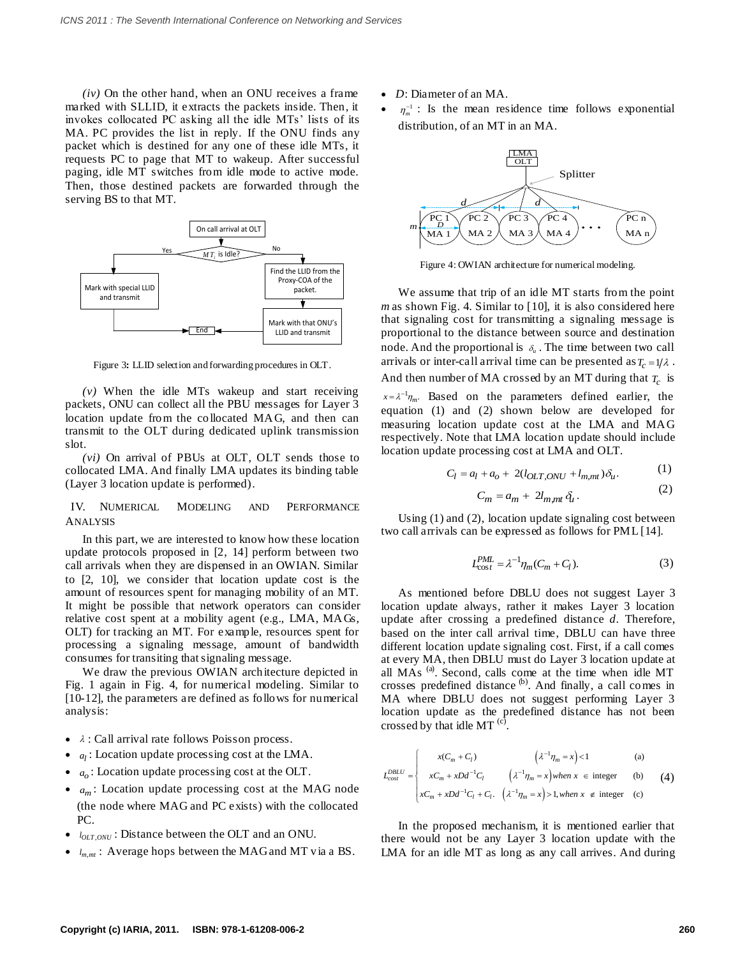*(iv)* On the other hand, when an ONU receives a frame marked with SLLID, it extracts the packets inside. Then, it invokes collocated PC asking all the idle MTs' lists of its MA. PC provides the list in reply. If the ONU finds any packet which is destined for any one of these idle MTs, it requests PC to page that MT to wakeup. After successful paging, idle MT switches from idle mode to active mode. Then, those destined packets are forwarded through the serving BS to that MT.



Figure 3**:** LLID selection and forwarding procedures in OLT.

*(v)* When the idle MTs wakeup and start receiving packets, ONU can collect all the PBU messages for Layer 3 location update from the collocated MAG, and then can transmit to the OLT during dedicated uplink transmission slot.

*(vi)* On arrival of PBUs at OLT, OLT sends those to collocated LMA. And finally LMA updates its binding table (Layer 3 location update is performed).

# IV. NUMERICAL MODELING AND PERFORMANCE ANALYSIS

In this part, we are interested to know how these location update protocols proposed in [2, 14] perform between two call arrivals when they are dispensed in an OWIAN. Similar to [2, 10], we consider that location update cost is the amount of resources spent for managing mobility of an MT. It might be possible that network operators can consider relative cost spent at a mobility agent (e.g., LMA, MAGs, OLT) for tracking an MT. For example, resources spent for processing a signaling message, amount of bandwidth consumes for transiting that signaling message.

We draw the previous OWIAN architecture depicted in Fig. 1 again in Fig. 4, for numerical modeling. Similar to [10-12], the parameters are defined as follows for numerical analysis:

- $\bullet$   $\lambda$ : Call arrival rate follows Poisson process.
- *<sup>l</sup> a* : Location update processing cost at the LMA.
- *a<sup>o</sup>* : Location update processing cost at the OLT.
- *a<sup>m</sup>* : Location update processing cost at the MAG node (the node where MAG and PC exists) with the collocated PC.
- $\bullet$  *l*<sub>OLT, ONU</sub> : Distance between the OLT and an ONU.
- $\bullet$   $l_{m,mt}$ : Average hops between the MAG and MT via a BS.
- *D*: Diameter of an MA.
- $\bullet$  $\eta_m^{-1}$ : Is the mean residence time follows exponential distribution, of an MT in an MA.



Figure 4: OWIAN architecture for numerical modeling.

We assume that trip of an idle MT starts from the point *m* as shown Fig. 4. Similar to [10], it is also considered here that signaling cost for transmitting a signaling message is proportional to the distance between source and destination node. And the proportional is  $\delta_u$ . The time between two call arrivals or inter-call arrival time can be presented as  $T_c = 1/\lambda$ . And then number of MA crossed by an MT during that  $T_c$  is  $x = \lambda^{-1} \eta_m$ . Based on the parameters defined earlier, the equation (1) and (2) shown below are developed for measuring location update cost at the LMA and MAG respectively. Note that LMA location update should include location update processing cost at LMA and OLT.

$$
C_l = a_l + a_o + 2(l_{OLT,ONU} + l_{m,mt})\delta_u.
$$
 (1)

$$
C_m = a_m + 2l_{m,mt} \,\delta_l \,. \tag{2}
$$

Using (1) and (2), location update signaling cost between two call arrivals can be expressed as follows for PML [14].

$$
L_{\text{cos}t}^{PML} = \lambda^{-1} \eta_m (C_m + C_l). \tag{3}
$$

As mentioned before DBLU does not suggest Layer 3 location update always, rather it makes Layer 3 location update after crossing a predefined distance *d*. Therefore, based on the inter call arrival time, DBLU can have three different location update signaling cost. First, if a call comes at every MA, then DBLU must do Layer 3 location update at all MAs<sup>(a)</sup>. Second, calls come at the time when idle MT crosses predefined distance (b). And finally, a call comes in MA where DBLU does not suggest performing Layer 3 location update as the predefined distance has not been crossed by that idle MT  $^{(c)}$ .

$$
L_{cost}^{DBLU} = \begin{cases} x(C_m + C_l) & \left(\lambda^{-1} \eta_m = x\right) < 1 \quad \text{(a)}\\ xC_m + xDd^{-1}C_l & \left(\lambda^{-1} \eta_m = x\right) when x \in \text{integer} \\ xC_m + xDd^{-1}C_l + C_l. & \left(\lambda^{-1} \eta_m = x\right) > 1, when x \notin \text{integer} \quad \text{(c)} \end{cases}
$$
 (4)

In the proposed mechanism, it is mentioned earlier that there would not be any Layer 3 location update with the LMA for an idle MT as long as any call arrives. And during